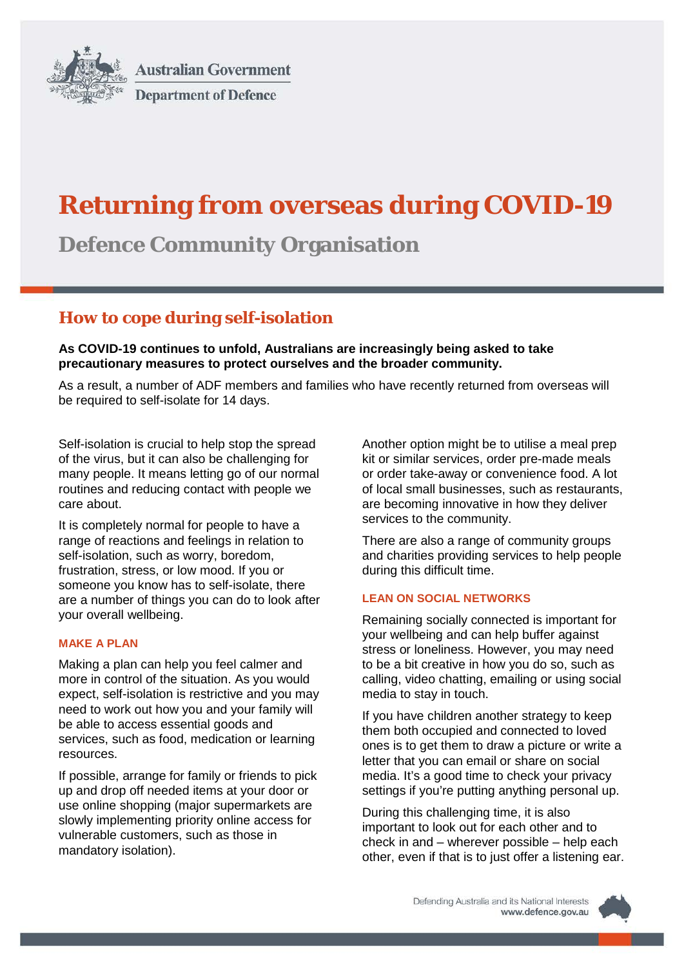

**Australian Government Department of Defence** 

# **Returning from overseas during COVID-19**

**Defence Community Organisation**

## **How to cope during self-isolation**

**As COVID-19 continues to unfold, Australians are increasingly being asked to take precautionary measures to protect ourselves and the broader community.** 

As a result, a number of ADF members and families who have recently returned from overseas will be required to self-isolate for 14 days.

Self-isolation is crucial to help stop the spread of the virus, but it can also be challenging for many people. It means letting go of our normal routines and reducing contact with people we care about.

It is completely normal for people to have a range of reactions and feelings in relation to self-isolation, such as worry, boredom, frustration, stress, or low mood. If you or someone you know has to self-isolate, there are a number of things you can do to look after your overall wellbeing.

## **MAKE A PLAN**

Making a plan can help you feel calmer and more in control of the situation. As you would expect, self-isolation is restrictive and you may need to work out how you and your family will be able to access essential goods and services, such as food, medication or learning resources.

If possible, arrange for family or friends to pick up and drop off needed items at your door or use online shopping (major supermarkets are slowly implementing priority online access for vulnerable customers, such as those in mandatory isolation).

Another option might be to utilise a meal prep kit or similar services, order pre-made meals or order take-away or convenience food. A lot of local small businesses, such as restaurants, are becoming innovative in how they deliver services to the community.

There are also a range of community groups and charities providing services to help people during this difficult time.

## **LEAN ON SOCIAL NETWORKS**

Remaining socially connected is important for your wellbeing and can help buffer against stress or loneliness. However, you may need to be a bit creative in how you do so, such as calling, video chatting, emailing or using social media to stay in touch.

If you have children another strategy to keep them both occupied and connected to loved ones is to get them to draw a picture or write a letter that you can email or share on social media. It's a good time to check your privacy settings if you're putting anything personal up.

During this challenging time, it is also important to look out for each other and to check in and – wherever possible – help each other, even if that is to just offer a listening ear.